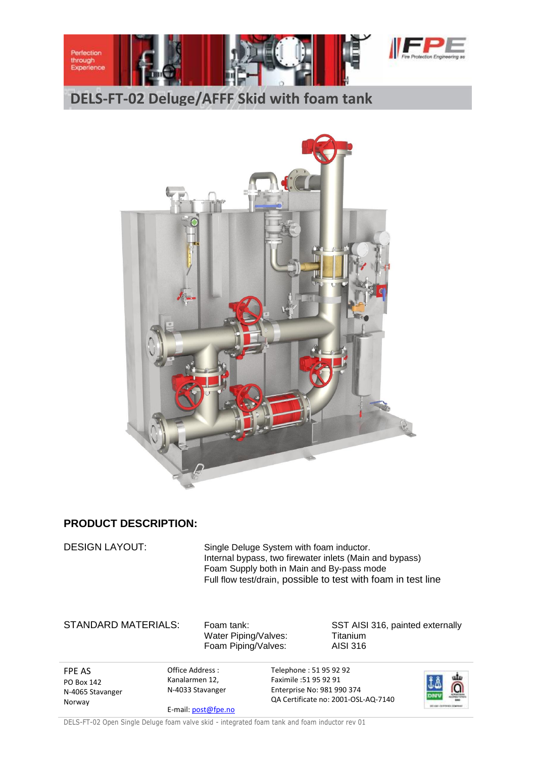

## **PRODUCT DESCRIPTION:**

DESIGN LAYOUT: Single Deluge System with foam inductor. Internal bypass, two firewater inlets (Main and bypass) Foam Supply both in Main and By-pass mode Full flow test/drain, possible to test with foam in test line

Water Piping/Valves: Titanium Foam Piping/Valves: AISI 316

STANDARD MATERIALS: Foam tank: SST AISI 316, painted externally

FPE AS PO Box 142 N-4065 Stavanger Norway

Office Address : Kanalarmen 12, N-4033 Stavanger E-mail[: post@fpe.no](mailto:post@fpe.no) Telephone : 51 95 92 92 Faximile :51 95 92 91 Enterprise No: 981 990 374 QA Certificate no: 2001-OSL-AQ-7140



DELS-FT-02 Open Single Deluge foam valve skid - integrated foam tank and foam inductor rev 01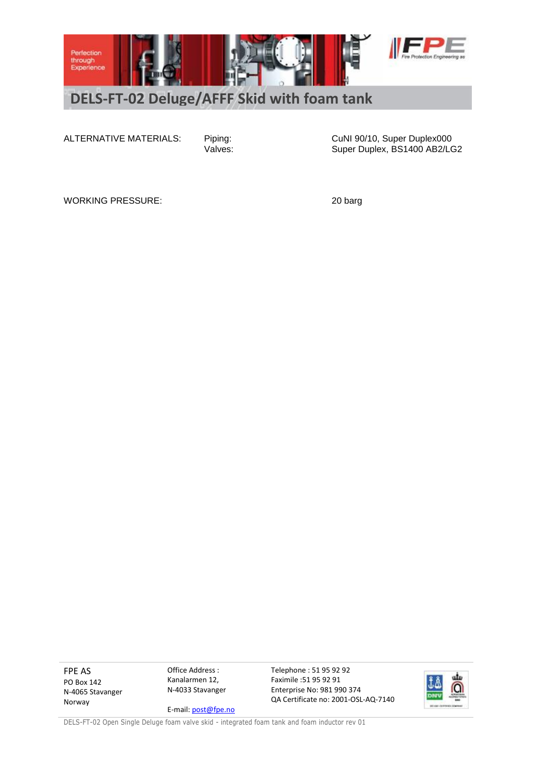

ALTERNATIVE MATERIALS: Piping: CuNI 90/10, Super Duplex000<br>Valves: CuNI 90/10, Super Duplex, BS1400 AB2/LO Super Duplex, BS1400 AB2/LG2

WORKING PRESSURE: 20 barg

FPE AS PO Box 142 N-4065 Stavanger Norway

Office Address : Kanalarmen 12, N-4033 Stavanger

E-mail[: post@fpe.no](mailto:post@fpe.no)

Telephone : 51 95 92 92 Faximile :51 95 92 91 Enterprise No: 981 990 374 QA Certificate no: 2001-OSL-AQ-7140



DELS-FT-02 Open Single Deluge foam valve skid - integrated foam tank and foam inductor rev 01